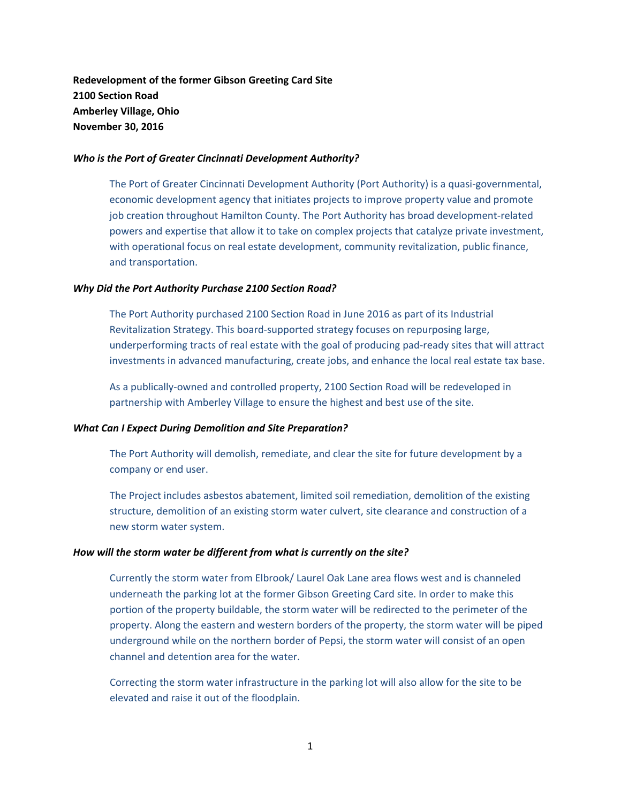**Redevelopment of the former Gibson Greeting Card Site 2100 Section Road Amberley Village, Ohio November 30, 2016**

## *Who is the Port of Greater Cincinnati Development Authority?*

The Port of Greater Cincinnati Development Authority (Port Authority) is a quasi‐governmental, economic development agency that initiates projects to improve property value and promote job creation throughout Hamilton County. The Port Authority has broad development-related powers and expertise that allow it to take on complex projects that catalyze private investment, with operational focus on real estate development, community revitalization, public finance, and transportation.

## *Why Did the Port Authority Purchase 2100 Section Road?*

The Port Authority purchased 2100 Section Road in June 2016 as part of its Industrial Revitalization Strategy. This board‐supported strategy focuses on repurposing large, underperforming tracts of real estate with the goal of producing pad‐ready sites that will attract investments in advanced manufacturing, create jobs, and enhance the local real estate tax base.

As a publically‐owned and controlled property, 2100 Section Road will be redeveloped in partnership with Amberley Village to ensure the highest and best use of the site.

# *What Can I Expect During Demolition and Site Preparation?*

The Port Authority will demolish, remediate, and clear the site for future development by a company or end user.

The Project includes asbestos abatement, limited soil remediation, demolition of the existing structure, demolition of an existing storm water culvert, site clearance and construction of a new storm water system.

#### *How will the storm water be different from what is currently on the site?*

Currently the storm water from Elbrook/ Laurel Oak Lane area flows west and is channeled underneath the parking lot at the former Gibson Greeting Card site. In order to make this portion of the property buildable, the storm water will be redirected to the perimeter of the property. Along the eastern and western borders of the property, the storm water will be piped underground while on the northern border of Pepsi, the storm water will consist of an open channel and detention area for the water.

Correcting the storm water infrastructure in the parking lot will also allow for the site to be elevated and raise it out of the floodplain.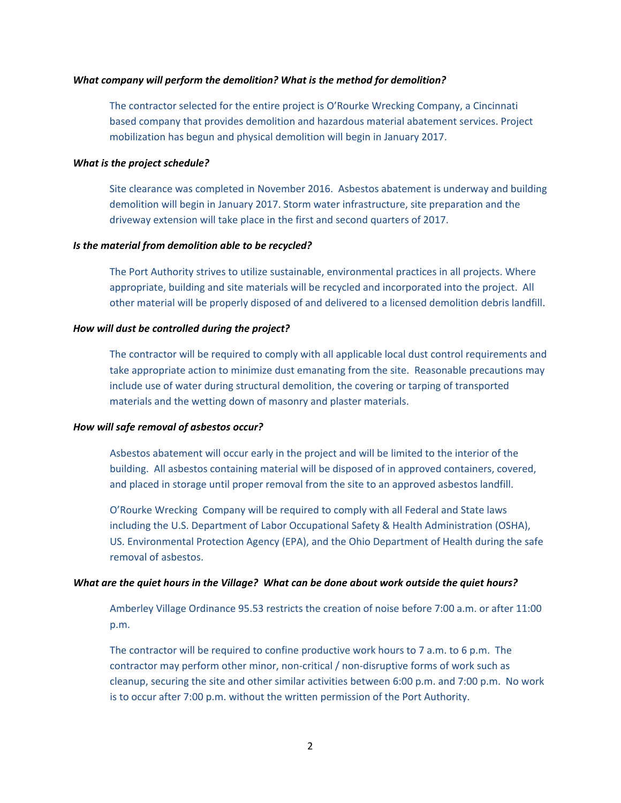#### *What company will perform the demolition? What is the method for demolition?*

The contractor selected for the entire project is O'Rourke Wrecking Company, a Cincinnati based company that provides demolition and hazardous material abatement services. Project mobilization has begun and physical demolition will begin in January 2017.

#### *What is the project schedule?*

Site clearance was completed in November 2016. Asbestos abatement is underway and building demolition will begin in January 2017. Storm water infrastructure, site preparation and the driveway extension will take place in the first and second quarters of 2017.

## *Is the material from demolition able to be recycled?*

The Port Authority strives to utilize sustainable, environmental practices in all projects. Where appropriate, building and site materials will be recycled and incorporated into the project. All other material will be properly disposed of and delivered to a licensed demolition debris landfill.

## *How will dust be controlled during the project?*

The contractor will be required to comply with all applicable local dust control requirements and take appropriate action to minimize dust emanating from the site. Reasonable precautions may include use of water during structural demolition, the covering or tarping of transported materials and the wetting down of masonry and plaster materials.

#### *How will safe removal of asbestos occur?*

Asbestos abatement will occur early in the project and will be limited to the interior of the building. All asbestos containing material will be disposed of in approved containers, covered, and placed in storage until proper removal from the site to an approved asbestos landfill.

O'Rourke Wrecking Company will be required to comply with all Federal and State laws including the U.S. Department of Labor Occupational Safety & Health Administration (OSHA), US. Environmental Protection Agency (EPA), and the Ohio Department of Health during the safe removal of asbestos.

# What are the quiet hours in the Village? What can be done about work outside the quiet hours?

Amberley Village Ordinance 95.53 restricts the creation of noise before 7:00 a.m. or after 11:00 p.m.

The contractor will be required to confine productive work hours to 7 a.m. to 6 p.m. The contractor may perform other minor, non-critical / non-disruptive forms of work such as cleanup, securing the site and other similar activities between 6:00 p.m. and 7:00 p.m. No work is to occur after 7:00 p.m. without the written permission of the Port Authority.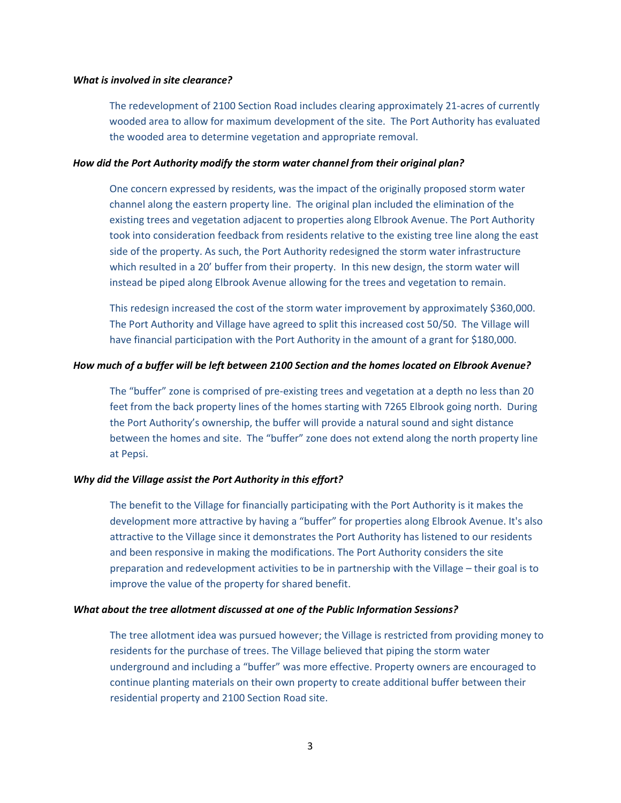#### *What is involved in site clearance?*

The redevelopment of 2100 Section Road includes clearing approximately 21-acres of currently wooded area to allow for maximum development of the site. The Port Authority has evaluated the wooded area to determine vegetation and appropriate removal.

#### *How did the Port Authority modify the storm water channel from their original plan?*

One concern expressed by residents, was the impact of the originally proposed storm water channel along the eastern property line. The original plan included the elimination of the existing trees and vegetation adjacent to properties along Elbrook Avenue. The Port Authority took into consideration feedback from residents relative to the existing tree line along the east side of the property. As such, the Port Authority redesigned the storm water infrastructure which resulted in a 20' buffer from their property. In this new design, the storm water will instead be piped along Elbrook Avenue allowing for the trees and vegetation to remain.

This redesign increased the cost of the storm water improvement by approximately \$360,000. The Port Authority and Village have agreed to split this increased cost 50/50. The Village will have financial participation with the Port Authority in the amount of a grant for \$180,000.

#### *How much of a buffer will be left between 2100 Section and the homes located on Elbrook Avenue?*

The "buffer" zone is comprised of pre‐existing trees and vegetation at a depth no less than 20 feet from the back property lines of the homes starting with 7265 Elbrook going north. During the Port Authority's ownership, the buffer will provide a natural sound and sight distance between the homes and site. The "buffer" zone does not extend along the north property line at Pepsi.

# *Why did the Village assist the Port Authority in this effort?*

The benefit to the Village for financially participating with the Port Authority is it makes the development more attractive by having a "buffer" for properties along Elbrook Avenue. It's also attractive to the Village since it demonstrates the Port Authority has listened to our residents and been responsive in making the modifications. The Port Authority considers the site preparation and redevelopment activities to be in partnership with the Village – their goal is to improve the value of the property for shared benefit.

#### *What about the tree allotment discussed at one of the Public Information Sessions?*

The tree allotment idea was pursued however; the Village is restricted from providing money to residents for the purchase of trees. The Village believed that piping the storm water underground and including a "buffer" was more effective. Property owners are encouraged to continue planting materials on their own property to create additional buffer between their residential property and 2100 Section Road site.